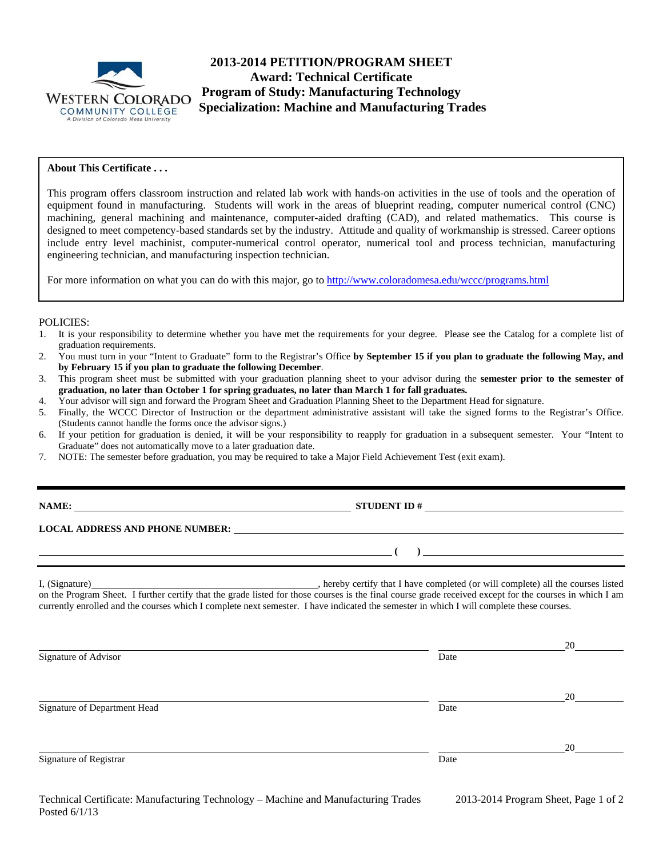

# **2013-2014 PETITION/PROGRAM SHEET Award: Technical Certificate Program of Study: Manufacturing Technology WESTERN COLORADO Trugram of Study: Manufacturing Technology**<br>COMMUNITY COLLEGE **Specialization: Machine and Manufacturing Trades**

### **About This Certificate . . .**

This program offers classroom instruction and related lab work with hands-on activities in the use of tools and the operation of equipment found in manufacturing. Students will work in the areas of blueprint reading, computer numerical control (CNC) machining, general machining and maintenance, computer-aided drafting (CAD), and related mathematics. This course is designed to meet competency-based standards set by the industry. Attitude and quality of workmanship is stressed. Career options include entry level machinist, computer-numerical control operator, numerical tool and process technician, manufacturing engineering technician, and manufacturing inspection technician.

For more information on what you can do with this major, go to http://www.coloradomesa.edu/wccc/programs.html

### POLICIES:

- 1. It is your responsibility to determine whether you have met the requirements for your degree. Please see the Catalog for a complete list of graduation requirements.
- 2. You must turn in your "Intent to Graduate" form to the Registrar's Office **by September 15 if you plan to graduate the following May, and by February 15 if you plan to graduate the following December**.
- 3. This program sheet must be submitted with your graduation planning sheet to your advisor during the **semester prior to the semester of graduation, no later than October 1 for spring graduates, no later than March 1 for fall graduates.**
- 4. Your advisor will sign and forward the Program Sheet and Graduation Planning Sheet to the Department Head for signature.
- 5. Finally, the WCCC Director of Instruction or the department administrative assistant will take the signed forms to the Registrar's Office. (Students cannot handle the forms once the advisor signs.)
- 6. If your petition for graduation is denied, it will be your responsibility to reapply for graduation in a subsequent semester. Your "Intent to Graduate" does not automatically move to a later graduation date.
- 7. NOTE: The semester before graduation, you may be required to take a Major Field Achievement Test (exit exam).

### **NAME: STUDENT ID #**

### **LOCAL ADDRESS AND PHONE NUMBER:**

I, (Signature) **Source 2008** (Signature) **, hereby certify that I have completed** (or will complete) all the courses listed on the Program Sheet. I further certify that the grade listed for those courses is the final course grade received except for the courses in which I am currently enrolled and the courses which I complete next semester. I have indicated the semester in which I will complete these courses.

| Signature of Advisor         | Date | 20 |
|------------------------------|------|----|
| Signature of Department Head | Date | 20 |
| Signature of Registrar       | Date | 20 |

 **(** ) <u>\_\_\_\_\_\_\_\_\_\_\_\_\_\_\_\_\_\_\_\_\_\_\_\_\_\_\_\_\_</u>